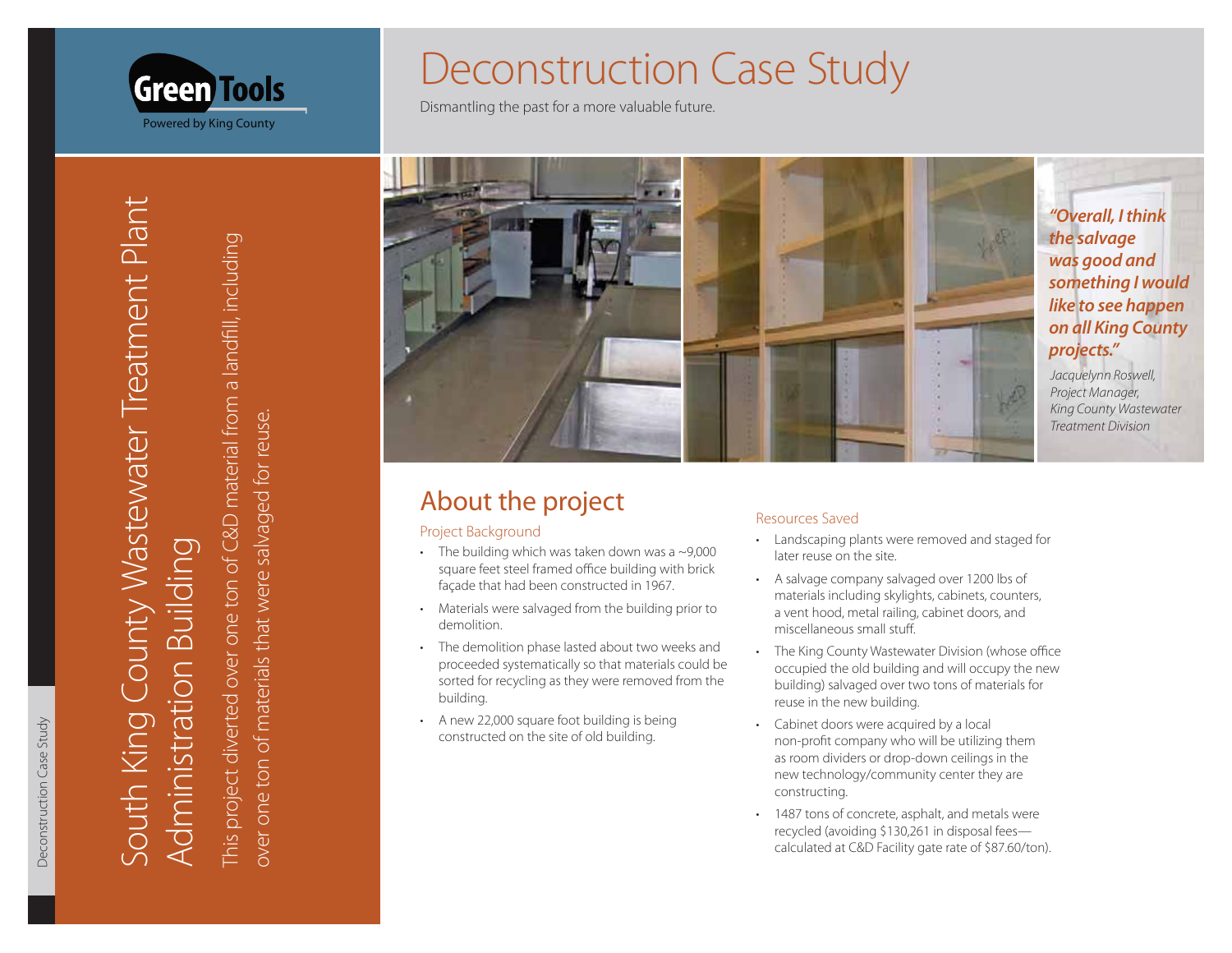

South King County Wastewater Treatment Plant **Administration Building** 

**Green Tools** 

Powered by King County

This project diverted over one ton of C&D material from a landfill, including over one ton of materials that were salvaged for reuse.

# **Deconstruction Case Study**

Dismantling the past for a more valuable future.



## About the project

### Project Background

- The building which was taken down was a  $\sim$ 9,000 square feet steel framed office building with brick façade that had been constructed in 1967.
- Materials were salvaged from the building prior to  $\ddot{\phantom{0}}$ demolition.
- The demolition phase lasted about two weeks and proceeded systematically so that materials could be sorted for recycling as they were removed from the building.
- A new 22,000 square foot building is being constructed on the site of old building.

### **Resources Saved**

- Landscaping plants were removed and staged for later reuse on the site.
- A salvage company salvaged over 1200 lbs of materials including skylights, cabinets, counters, a vent hood, metal railing, cabinet doors, and miscellaneous small stuff.
- The King County Wastewater Division (whose office occupied the old building and will occupy the new building) salvaged over two tons of materials for reuse in the new building.
- Cabinet doors were acquired by a local non-profit company who will be utilizing them as room dividers or drop-down ceilings in the new technology/community center they are constructing.
- 1487 tons of concrete, asphalt, and metals were recycled (avoiding \$130,261 in disposal feescalculated at C&D Facility gate rate of \$87.60/ton).

"Overall, I think was good and something I would like to see happen on all King County

King County Wastewater